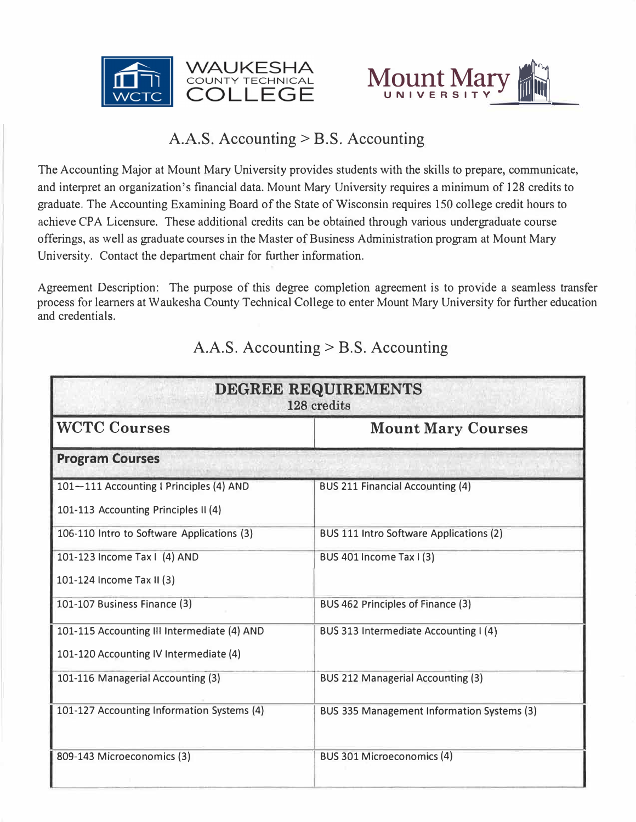



# A.A.S. Accounting > B.S. Accounting

The Accounting Major at Mount Mary University provides students with the skills to prepare, communicate, and interpret an organization's financial data. Mount Mary University requires a minimum of 128 credits to graduate. The Accounting Examining Board of the State of Wisconsin requires 150 college credit hours to achieve CPA Licensure. These additional credits can be obtained through various undergraduate course offerings, as well as graduate courses in the Master of Business Administration program at Mount Mary University. Contact the department chair for further information.

Agreement Description: The purpose of this degree completion agreement is to provide a seamless transfer process for leamers at Waukesha County Technical College to enter Mount Mary University for further education and credentials.

| DEGREE REQUIREMENTS<br>128 credits                                                    |                                                   |  |
|---------------------------------------------------------------------------------------|---------------------------------------------------|--|
| <b>WCTC Courses</b>                                                                   | <b>Mount Mary Courses</b>                         |  |
| <b>Program Courses</b>                                                                |                                                   |  |
| 101-111 Accounting I Principles (4) AND<br>101-113 Accounting Principles II (4)       | <b>BUS 211 Financial Accounting (4)</b>           |  |
| 106-110 Intro to Software Applications (3)                                            | <b>BUS 111 Intro Software Applications (2)</b>    |  |
| 101-123 Income Tax I (4) AND<br>101-124 Income Tax II (3)                             | BUS 401 Income Tax I (3)                          |  |
| 101-107 Business Finance (3)                                                          | BUS 462 Principles of Finance (3)                 |  |
| 101-115 Accounting III Intermediate (4) AND<br>101-120 Accounting IV Intermediate (4) | BUS 313 Intermediate Accounting I (4)             |  |
| 101-116 Managerial Accounting (3)                                                     | <b>BUS 212 Managerial Accounting (3)</b>          |  |
| 101-127 Accounting Information Systems (4)                                            | <b>BUS 335 Management Information Systems (3)</b> |  |
| 809-143 Microeconomics (3)                                                            | BUS 301 Microeconomics (4)                        |  |

# A.A.S. Accounting> B.S. Accounting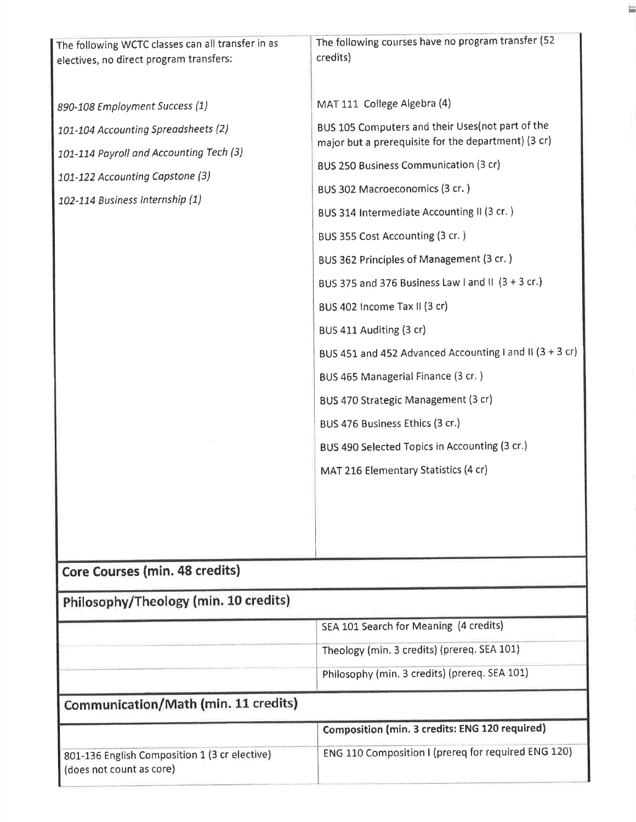| The following WCTC classes can all transfer in as<br>electives, no direct program transfers:                                                                                           | The following courses have no program transfer (52<br>credits)                                                                                                                                                                                                                                                                                                                                                                                                                                                                                                                                                                                                                                                                            |  |  |
|----------------------------------------------------------------------------------------------------------------------------------------------------------------------------------------|-------------------------------------------------------------------------------------------------------------------------------------------------------------------------------------------------------------------------------------------------------------------------------------------------------------------------------------------------------------------------------------------------------------------------------------------------------------------------------------------------------------------------------------------------------------------------------------------------------------------------------------------------------------------------------------------------------------------------------------------|--|--|
| 890-108 Employment Success (1)<br>101-104 Accounting Spreadsheets (2)<br>101-114 Payroll and Accounting Tech (3)<br>101-122 Accounting Capstone (3)<br>102-114 Business Internship (1) | MAT 111 College Algebra (4)<br>BUS 105 Computers and their Uses(not part of the<br>major but a prerequisite for the department) (3 cr)<br><b>BUS 250 Business Communication (3 cr)</b><br>BUS 302 Macroeconomics (3 cr.)<br>BUS 314 Intermediate Accounting II (3 cr.)<br>BUS 355 Cost Accounting (3 cr.)<br>BUS 362 Principles of Management (3 cr.)<br>BUS 375 and 376 Business Law I and II (3 + 3 cr.)<br>BUS 402 Income Tax II (3 cr)<br>BUS 411 Auditing (3 cr)<br>BUS 451 and 452 Advanced Accounting I and II (3 + 3 cr)<br>BUS 465 Managerial Finance (3 cr.)<br>BUS 470 Strategic Management (3 cr)<br>BUS 476 Business Ethics (3 cr.)<br>BUS 490 Selected Topics in Accounting (3 cr.)<br>MAT 216 Elementary Statistics (4 cr) |  |  |
|                                                                                                                                                                                        |                                                                                                                                                                                                                                                                                                                                                                                                                                                                                                                                                                                                                                                                                                                                           |  |  |
| Core Courses (min. 48 credits)                                                                                                                                                         |                                                                                                                                                                                                                                                                                                                                                                                                                                                                                                                                                                                                                                                                                                                                           |  |  |
| Philosophy/Theology (min. 10 credits)                                                                                                                                                  |                                                                                                                                                                                                                                                                                                                                                                                                                                                                                                                                                                                                                                                                                                                                           |  |  |
|                                                                                                                                                                                        | SEA 101 Search for Meaning (4 credits)                                                                                                                                                                                                                                                                                                                                                                                                                                                                                                                                                                                                                                                                                                    |  |  |
|                                                                                                                                                                                        | Theology (min. 3 credits) (prereq. SEA 101)                                                                                                                                                                                                                                                                                                                                                                                                                                                                                                                                                                                                                                                                                               |  |  |
|                                                                                                                                                                                        | Philosophy (min. 3 credits) (prereq. SEA 101)                                                                                                                                                                                                                                                                                                                                                                                                                                                                                                                                                                                                                                                                                             |  |  |
| Communication/Math (min. 11 credits)                                                                                                                                                   |                                                                                                                                                                                                                                                                                                                                                                                                                                                                                                                                                                                                                                                                                                                                           |  |  |
|                                                                                                                                                                                        | Composition (min. 3 credits: ENG 120 required)                                                                                                                                                                                                                                                                                                                                                                                                                                                                                                                                                                                                                                                                                            |  |  |
| 801-136 English Composition 1 (3 cr elective)<br>(does not count as core)                                                                                                              | ENG 110 Composition I (prereq for required ENG 120)                                                                                                                                                                                                                                                                                                                                                                                                                                                                                                                                                                                                                                                                                       |  |  |
|                                                                                                                                                                                        |                                                                                                                                                                                                                                                                                                                                                                                                                                                                                                                                                                                                                                                                                                                                           |  |  |

E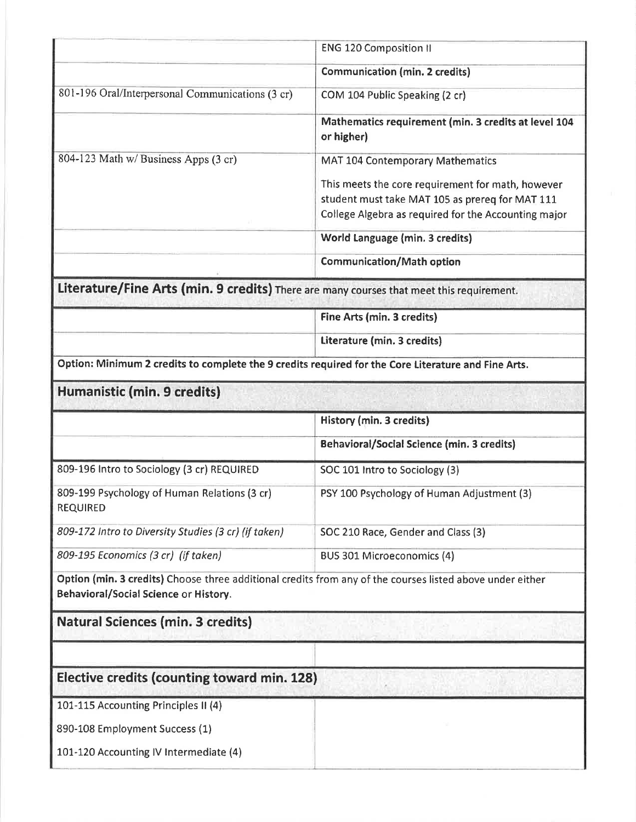|                                                                                                                                                    | <b>ENG 120 Composition II</b>                                                                                                                                |  |  |
|----------------------------------------------------------------------------------------------------------------------------------------------------|--------------------------------------------------------------------------------------------------------------------------------------------------------------|--|--|
|                                                                                                                                                    | <b>Communication (min. 2 credits)</b>                                                                                                                        |  |  |
| 801-196 Oral/Interpersonal Communications (3 cr)                                                                                                   | COM 104 Public Speaking (2 cr)                                                                                                                               |  |  |
|                                                                                                                                                    | Mathematics requirement (min. 3 credits at level 104<br>or higher)                                                                                           |  |  |
| 804-123 Math w/ Business Apps (3 cr)                                                                                                               | <b>MAT 104 Contemporary Mathematics</b>                                                                                                                      |  |  |
|                                                                                                                                                    | This meets the core requirement for math, however<br>student must take MAT 105 as prereq for MAT 111<br>College Algebra as required for the Accounting major |  |  |
|                                                                                                                                                    | World Language (min. 3 credits)                                                                                                                              |  |  |
|                                                                                                                                                    | <b>Communication/Math option</b>                                                                                                                             |  |  |
| Literature/Fine Arts (min. 9 credits) There are many courses that meet this requirement.                                                           |                                                                                                                                                              |  |  |
|                                                                                                                                                    | Fine Arts (min. 3 credits)                                                                                                                                   |  |  |
|                                                                                                                                                    | Literature (min. 3 credits)                                                                                                                                  |  |  |
| Option: Minimum 2 credits to complete the 9 credits required for the Core Literature and Fine Arts.                                                |                                                                                                                                                              |  |  |
| Humanistic (min. 9 credits)                                                                                                                        |                                                                                                                                                              |  |  |
|                                                                                                                                                    | History (min. 3 credits)                                                                                                                                     |  |  |
|                                                                                                                                                    | <b>Behavioral/Social Science (min. 3 credits)</b>                                                                                                            |  |  |
|                                                                                                                                                    | SOC 101 Intro to Sociology (3)                                                                                                                               |  |  |
| 809-196 Intro to Sociology (3 cr) REQUIRED                                                                                                         |                                                                                                                                                              |  |  |
| 809-199 Psychology of Human Relations (3 cr)<br><b>REQUIRED</b>                                                                                    | PSY 100 Psychology of Human Adjustment (3)                                                                                                                   |  |  |
| 809-172 Intro to Diversity Studies (3 cr) (if taken)                                                                                               | SOC 210 Race, Gender and Class (3)                                                                                                                           |  |  |
| 809-195 Economics (3 cr) (if taken)                                                                                                                | BUS 301 Microeconomics (4)                                                                                                                                   |  |  |
| Option (min. 3 credits) Choose three additional credits from any of the courses listed above under either<br>Behavioral/Social Science or History. |                                                                                                                                                              |  |  |
| <b>Natural Sciences (min. 3 credits)</b>                                                                                                           |                                                                                                                                                              |  |  |
|                                                                                                                                                    |                                                                                                                                                              |  |  |
| Elective credits (counting toward min. 128)                                                                                                        |                                                                                                                                                              |  |  |
| 101-115 Accounting Principles II (4)                                                                                                               |                                                                                                                                                              |  |  |
| 890-108 Employment Success (1)                                                                                                                     |                                                                                                                                                              |  |  |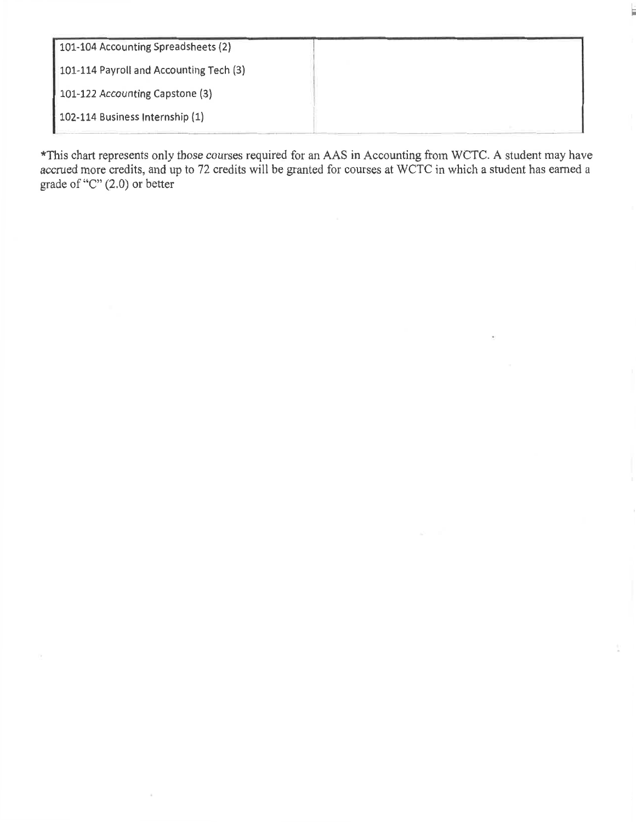| 101-104 Accounting Spreadsheets (2)     |  |
|-----------------------------------------|--|
| 101-114 Payroll and Accounting Tech (3) |  |
| 101-122 Accounting Capstone (3)         |  |
| 102-114 Business Internship (1)         |  |
|                                         |  |

\*This chart represents only those courses required for an AAS in Accounting from WCTC. A student may have accrued more credits, and up to 72 credits will be granted for courses at WCTC in which a student has earned a grad